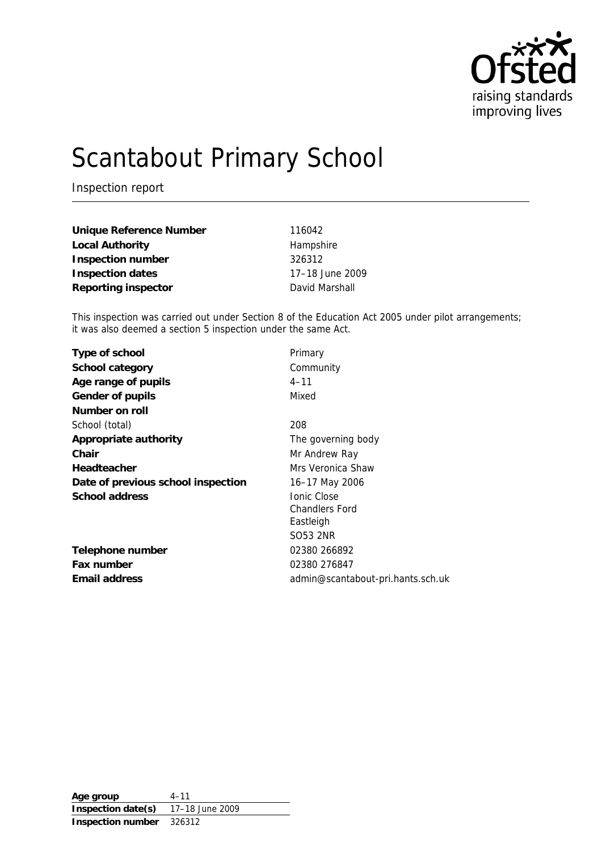

# Scantabout Primary School

Inspection report

| Unique Reference Number | 116042          |
|-------------------------|-----------------|
| Local Authority         | Hampshire       |
| Inspection number       | 326312          |
| Inspection dates        | 17-18 June 2009 |
| Reporting inspector     | David Marshall  |

This inspection was carried out under Section 8 of the Education Act 2005 under pilot arrangements; it was also deemed a section 5 inspection under the same Act.

| Primary                           |
|-----------------------------------|
| Community                         |
| $4 - 11$                          |
| Mixed                             |
|                                   |
| 208                               |
| The governing body                |
| Mr Andrew Ray                     |
| Mrs Veronica Shaw                 |
| 16-17 May 2006                    |
| <b>Ionic Close</b>                |
| <b>Chandlers Ford</b>             |
| Eastleigh                         |
| SO53 2NR                          |
| 02380 266892                      |
| 02380 276847                      |
| admin@scantabout-pri.hants.sch.uk |
|                                   |

**Age group** 4–11 **Inspection date(s)** 17–18 June 2009 **Inspection number** 326312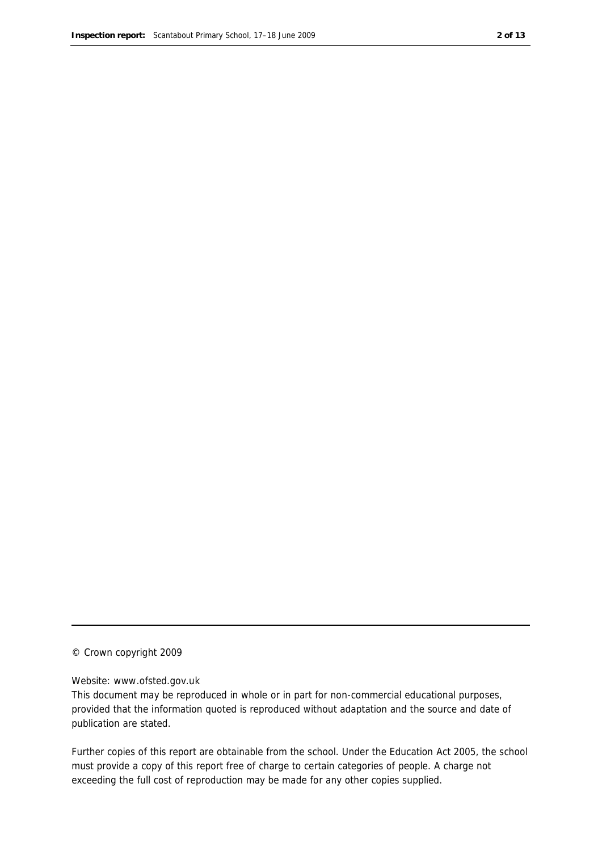#### © Crown copyright 2009

#### Website: www.ofsted.gov.uk

This document may be reproduced in whole or in part for non-commercial educational purposes, provided that the information quoted is reproduced without adaptation and the source and date of publication are stated.

Further copies of this report are obtainable from the school. Under the Education Act 2005, the school must provide a copy of this report free of charge to certain categories of people. A charge not exceeding the full cost of reproduction may be made for any other copies supplied.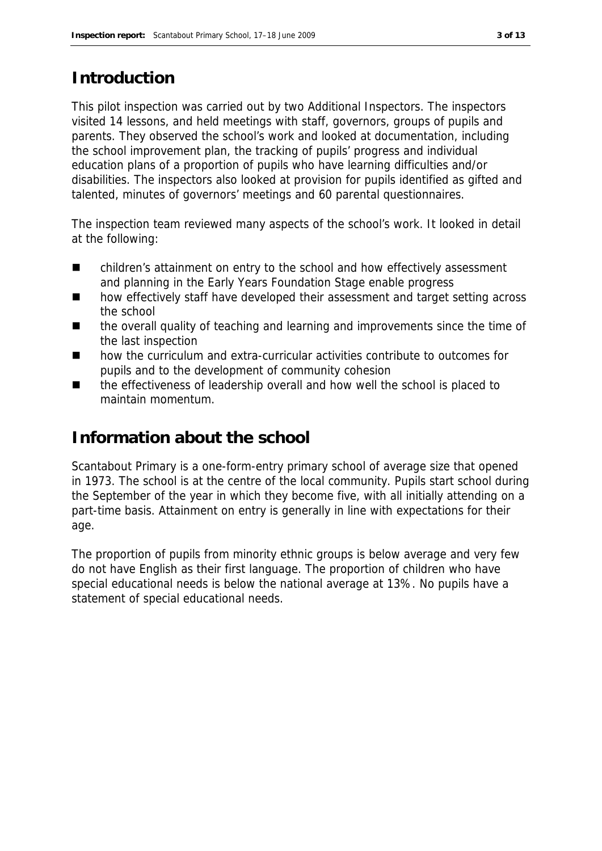## **Introduction**

This pilot inspection was carried out by two Additional Inspectors. The inspectors visited 14 lessons, and held meetings with staff, governors, groups of pupils and parents. They observed the school's work and looked at documentation, including the school improvement plan, the tracking of pupils' progress and individual education plans of a proportion of pupils who have learning difficulties and/or disabilities. The inspectors also looked at provision for pupils identified as gifted and talented, minutes of governors' meetings and 60 parental questionnaires.

The inspection team reviewed many aspects of the school's work. It looked in detail at the following:

- children's attainment on entry to the school and how effectively assessment and planning in the Early Years Foundation Stage enable progress
- how effectively staff have developed their assessment and target setting across the school
- the overall quality of teaching and learning and improvements since the time of the last inspection
- how the curriculum and extra-curricular activities contribute to outcomes for pupils and to the development of community cohesion
- the effectiveness of leadership overall and how well the school is placed to maintain momentum.

# **Information about the school**

Scantabout Primary is a one-form-entry primary school of average size that opened in 1973. The school is at the centre of the local community. Pupils start school during the September of the year in which they become five, with all initially attending on a part-time basis. Attainment on entry is generally in line with expectations for their age.

The proportion of pupils from minority ethnic groups is below average and very few do not have English as their first language. The proportion of children who have special educational needs is below the national average at 13%. No pupils have a statement of special educational needs.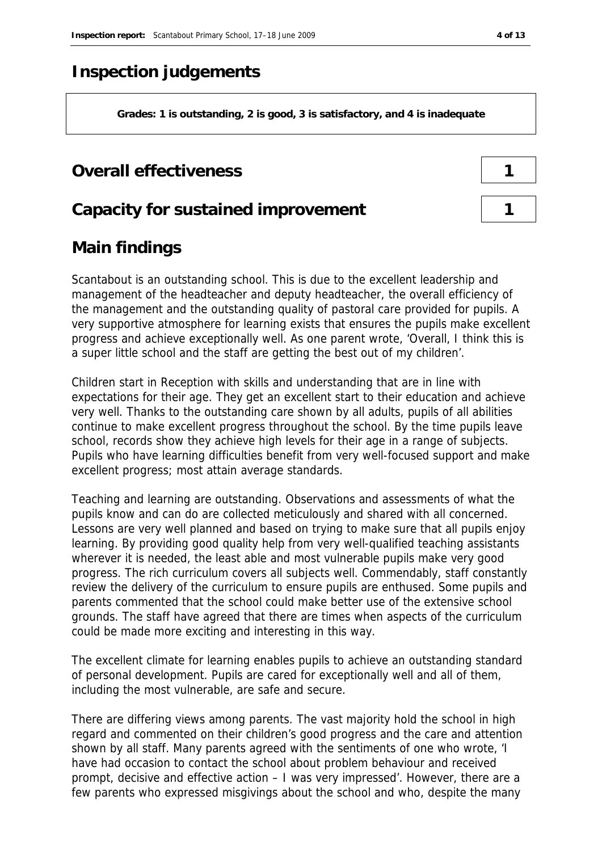## **Inspection judgements**

**Grades: 1 is outstanding, 2 is good, 3 is satisfactory, and 4 is inadequate**

## **Overall effectiveness 1**

### **Capacity for sustained improvement 1**

# **Main findings**

Scantabout is an outstanding school. This is due to the excellent leadership and management of the headteacher and deputy headteacher, the overall efficiency of the management and the outstanding quality of pastoral care provided for pupils. A very supportive atmosphere for learning exists that ensures the pupils make excellent progress and achieve exceptionally well. As one parent wrote, 'Overall, I think this is a super little school and the staff are getting the best out of my children'.

Children start in Reception with skills and understanding that are in line with expectations for their age. They get an excellent start to their education and achieve very well. Thanks to the outstanding care shown by all adults, pupils of all abilities continue to make excellent progress throughout the school. By the time pupils leave school, records show they achieve high levels for their age in a range of subjects. Pupils who have learning difficulties benefit from very well-focused support and make excellent progress; most attain average standards.

Teaching and learning are outstanding. Observations and assessments of what the pupils know and can do are collected meticulously and shared with all concerned. Lessons are very well planned and based on trying to make sure that all pupils enjoy learning. By providing good quality help from very well-qualified teaching assistants wherever it is needed, the least able and most vulnerable pupils make very good progress. The rich curriculum covers all subjects well. Commendably, staff constantly review the delivery of the curriculum to ensure pupils are enthused. Some pupils and parents commented that the school could make better use of the extensive school grounds. The staff have agreed that there are times when aspects of the curriculum could be made more exciting and interesting in this way.

The excellent climate for learning enables pupils to achieve an outstanding standard of personal development. Pupils are cared for exceptionally well and all of them, including the most vulnerable, are safe and secure.

There are differing views among parents. The vast majority hold the school in high regard and commented on their children's good progress and the care and attention shown by all staff. Many parents agreed with the sentiments of one who wrote, 'I have had occasion to contact the school about problem behaviour and received prompt, decisive and effective action – I was very impressed'. However, there are a few parents who expressed misgivings about the school and who, despite the many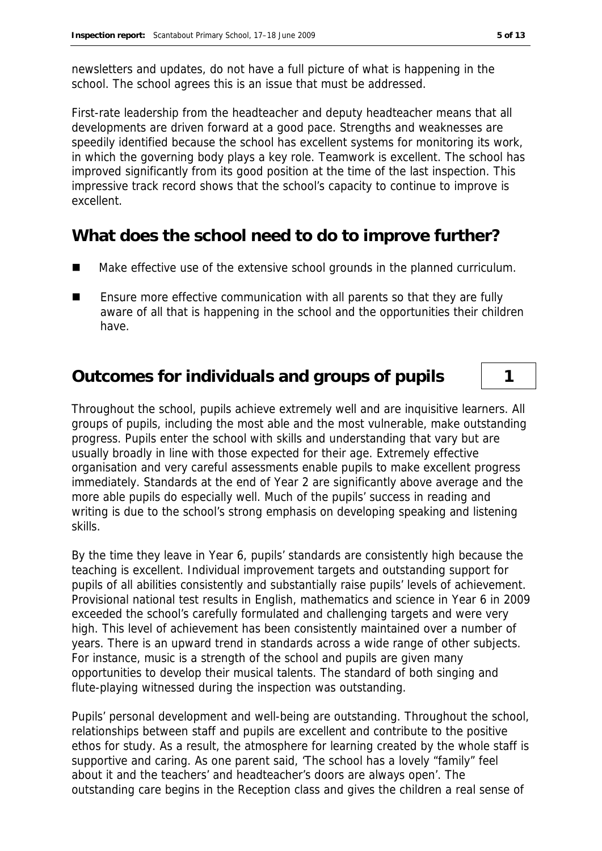newsletters and updates, do not have a full picture of what is happening in the school. The school agrees this is an issue that must be addressed.

First-rate leadership from the headteacher and deputy headteacher means that all developments are driven forward at a good pace. Strengths and weaknesses are speedily identified because the school has excellent systems for monitoring its work, in which the governing body plays a key role. Teamwork is excellent. The school has improved significantly from its good position at the time of the last inspection. This impressive track record shows that the school's capacity to continue to improve is excellent.

## **What does the school need to do to improve further?**

- Make effective use of the extensive school grounds in the planned curriculum.
- Ensure more effective communication with all parents so that they are fully aware of all that is happening in the school and the opportunities their children have.

# **Outcomes for individuals and groups of pupils 1**

Throughout the school, pupils achieve extremely well and are inquisitive learners. All groups of pupils, including the most able and the most vulnerable, make outstanding progress. Pupils enter the school with skills and understanding that vary but are usually broadly in line with those expected for their age. Extremely effective organisation and very careful assessments enable pupils to make excellent progress immediately. Standards at the end of Year 2 are significantly above average and the more able pupils do especially well. Much of the pupils' success in reading and writing is due to the school's strong emphasis on developing speaking and listening skills.

By the time they leave in Year 6, pupils' standards are consistently high because the teaching is excellent. Individual improvement targets and outstanding support for pupils of all abilities consistently and substantially raise pupils' levels of achievement. Provisional national test results in English, mathematics and science in Year 6 in 2009 exceeded the school's carefully formulated and challenging targets and were very high. This level of achievement has been consistently maintained over a number of years. There is an upward trend in standards across a wide range of other subjects. For instance, music is a strength of the school and pupils are given many opportunities to develop their musical talents. The standard of both singing and flute-playing witnessed during the inspection was outstanding.

Pupils' personal development and well-being are outstanding. Throughout the school, relationships between staff and pupils are excellent and contribute to the positive ethos for study. As a result, the atmosphere for learning created by the whole staff is supportive and caring. As one parent said, 'The school has a lovely "family" feel about it and the teachers' and headteacher's doors are always open'. The outstanding care begins in the Reception class and gives the children a real sense of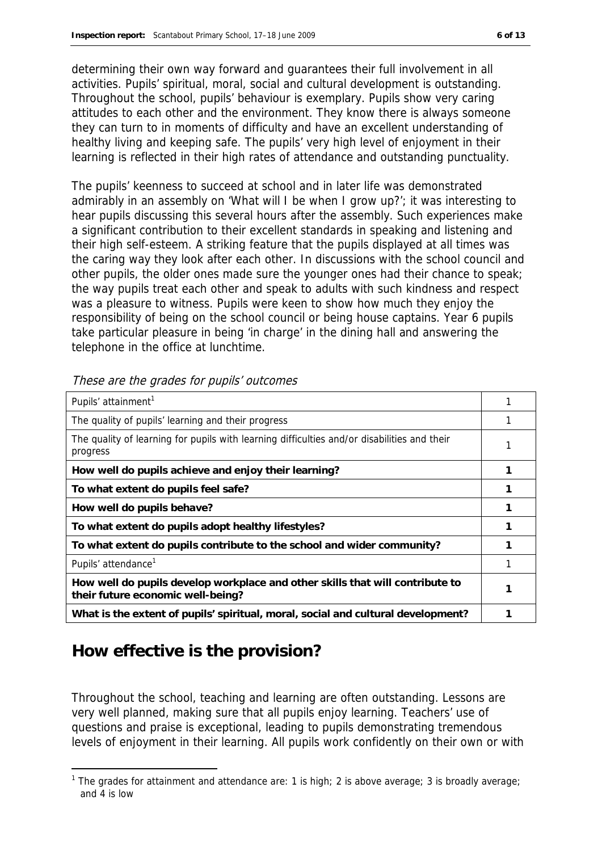determining their own way forward and guarantees their full involvement in all activities. Pupils' spiritual, moral, social and cultural development is outstanding. Throughout the school, pupils' behaviour is exemplary. Pupils show very caring attitudes to each other and the environment. They know there is always someone they can turn to in moments of difficulty and have an excellent understanding of healthy living and keeping safe. The pupils' very high level of enjoyment in their learning is reflected in their high rates of attendance and outstanding punctuality.

The pupils' keenness to succeed at school and in later life was demonstrated admirably in an assembly on 'What will I be when I grow up?'; it was interesting to hear pupils discussing this several hours after the assembly. Such experiences make a significant contribution to their excellent standards in speaking and listening and their high self-esteem. A striking feature that the pupils displayed at all times was the caring way they look after each other. In discussions with the school council and other pupils, the older ones made sure the younger ones had their chance to speak; the way pupils treat each other and speak to adults with such kindness and respect was a pleasure to witness. Pupils were keen to show how much they enjoy the responsibility of being on the school council or being house captains. Year 6 pupils take particular pleasure in being 'in charge' in the dining hall and answering the telephone in the office at lunchtime.

| Pupils' attainment <sup>1</sup>                                                                                    |  |
|--------------------------------------------------------------------------------------------------------------------|--|
| The quality of pupils' learning and their progress                                                                 |  |
| The quality of learning for pupils with learning difficulties and/or disabilities and their<br>progress            |  |
| How well do pupils achieve and enjoy their learning?                                                               |  |
| To what extent do pupils feel safe?                                                                                |  |
| How well do pupils behave?                                                                                         |  |
| To what extent do pupils adopt healthy lifestyles?                                                                 |  |
| To what extent do pupils contribute to the school and wider community?                                             |  |
| Pupils' attendance <sup>1</sup>                                                                                    |  |
| How well do pupils develop workplace and other skills that will contribute to<br>their future economic well-being? |  |
| What is the extent of pupils' spiritual, moral, social and cultural development?                                   |  |

These are the grades for pupils' outcomes

# **How effective is the provision?**

-

Throughout the school, teaching and learning are often outstanding. Lessons are very well planned, making sure that all pupils enjoy learning. Teachers' use of questions and praise is exceptional, leading to pupils demonstrating tremendous levels of enjoyment in their learning. All pupils work confidently on their own or with

<sup>&</sup>lt;sup>1</sup> The grades for attainment and attendance are: 1 is high; 2 is above average; 3 is broadly average; and 4 is low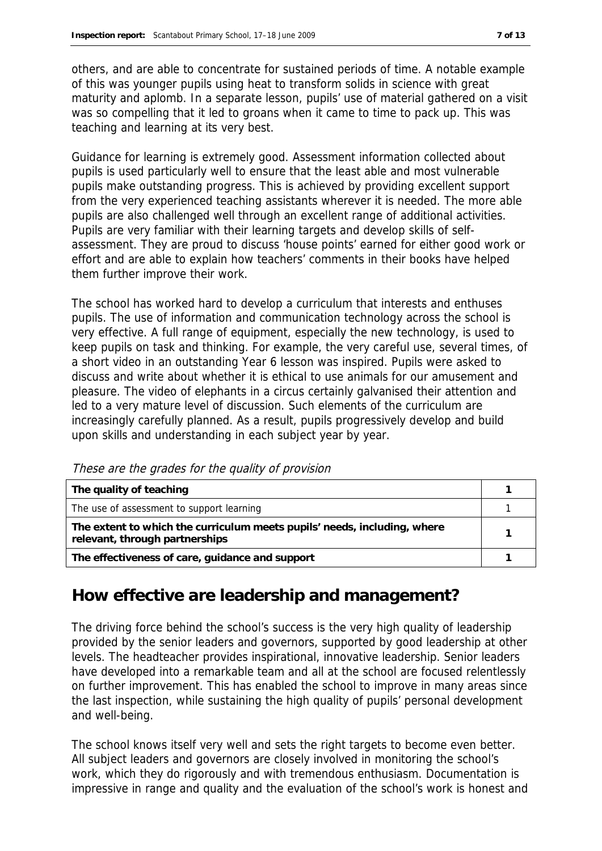others, and are able to concentrate for sustained periods of time. A notable example of this was younger pupils using heat to transform solids in science with great maturity and aplomb. In a separate lesson, pupils' use of material gathered on a visit was so compelling that it led to groans when it came to time to pack up. This was teaching and learning at its very best.

Guidance for learning is extremely good. Assessment information collected about pupils is used particularly well to ensure that the least able and most vulnerable pupils make outstanding progress. This is achieved by providing excellent support from the very experienced teaching assistants wherever it is needed. The more able pupils are also challenged well through an excellent range of additional activities. Pupils are very familiar with their learning targets and develop skills of selfassessment. They are proud to discuss 'house points' earned for either good work or effort and are able to explain how teachers' comments in their books have helped them further improve their work.

The school has worked hard to develop a curriculum that interests and enthuses pupils. The use of information and communication technology across the school is very effective. A full range of equipment, especially the new technology, is used to keep pupils on task and thinking. For example, the very careful use, several times, of a short video in an outstanding Year 6 lesson was inspired. Pupils were asked to discuss and write about whether it is ethical to use animals for our amusement and pleasure. The video of elephants in a circus certainly galvanised their attention and led to a very mature level of discussion. Such elements of the curriculum are increasingly carefully planned. As a result, pupils progressively develop and build upon skills and understanding in each subject year by year.

| The quality of teaching                                                                                    |  |
|------------------------------------------------------------------------------------------------------------|--|
| The use of assessment to support learning                                                                  |  |
| The extent to which the curriculum meets pupils' needs, including, where<br>relevant, through partnerships |  |
| The effectiveness of care, guidance and support                                                            |  |

These are the grades for the quality of provision

### **How effective are leadership and management?**

The driving force behind the school's success is the very high quality of leadership provided by the senior leaders and governors, supported by good leadership at other levels. The headteacher provides inspirational, innovative leadership. Senior leaders have developed into a remarkable team and all at the school are focused relentlessly on further improvement. This has enabled the school to improve in many areas since the last inspection, while sustaining the high quality of pupils' personal development and well-being.

The school knows itself very well and sets the right targets to become even better. All subject leaders and governors are closely involved in monitoring the school's work, which they do rigorously and with tremendous enthusiasm. Documentation is impressive in range and quality and the evaluation of the school's work is honest and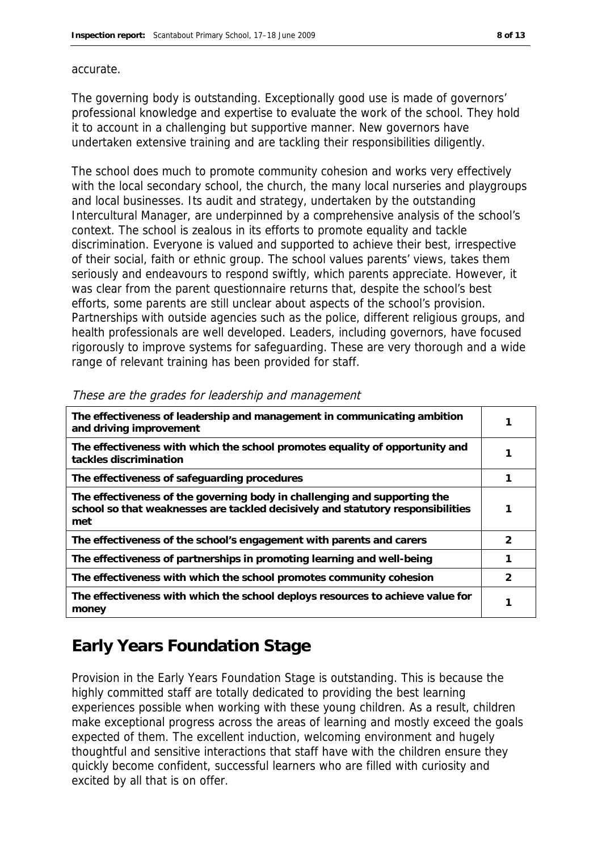#### accurate.

The governing body is outstanding. Exceptionally good use is made of governors' professional knowledge and expertise to evaluate the work of the school. They hold it to account in a challenging but supportive manner. New governors have undertaken extensive training and are tackling their responsibilities diligently.

The school does much to promote community cohesion and works very effectively with the local secondary school, the church, the many local nurseries and playgroups and local businesses. Its audit and strategy, undertaken by the outstanding Intercultural Manager, are underpinned by a comprehensive analysis of the school's context. The school is zealous in its efforts to promote equality and tackle discrimination. Everyone is valued and supported to achieve their best, irrespective of their social, faith or ethnic group. The school values parents' views, takes them seriously and endeavours to respond swiftly, which parents appreciate. However, it was clear from the parent questionnaire returns that, despite the school's best efforts, some parents are still unclear about aspects of the school's provision. Partnerships with outside agencies such as the police, different religious groups, and health professionals are well developed. Leaders, including governors, have focused rigorously to improve systems for safeguarding. These are very thorough and a wide range of relevant training has been provided for staff.

| The effectiveness of leadership and management in communicating ambition<br>and driving improvement                                                                 |   |
|---------------------------------------------------------------------------------------------------------------------------------------------------------------------|---|
| The effectiveness with which the school promotes equality of opportunity and<br>tackles discrimination                                                              |   |
| The effectiveness of safeguarding procedures                                                                                                                        |   |
| The effectiveness of the governing body in challenging and supporting the<br>school so that weaknesses are tackled decisively and statutory responsibilities<br>met |   |
| The effectiveness of the school's engagement with parents and carers                                                                                                | 2 |
| The effectiveness of partnerships in promoting learning and well-being                                                                                              |   |
| The effectiveness with which the school promotes community cohesion                                                                                                 | 2 |
| The effectiveness with which the school deploys resources to achieve value for<br>money                                                                             |   |

#### These are the grades for leadership and management

# **Early Years Foundation Stage**

Provision in the Early Years Foundation Stage is outstanding. This is because the highly committed staff are totally dedicated to providing the best learning experiences possible when working with these young children. As a result, children make exceptional progress across the areas of learning and mostly exceed the goals expected of them. The excellent induction, welcoming environment and hugely thoughtful and sensitive interactions that staff have with the children ensure they quickly become confident, successful learners who are filled with curiosity and excited by all that is on offer.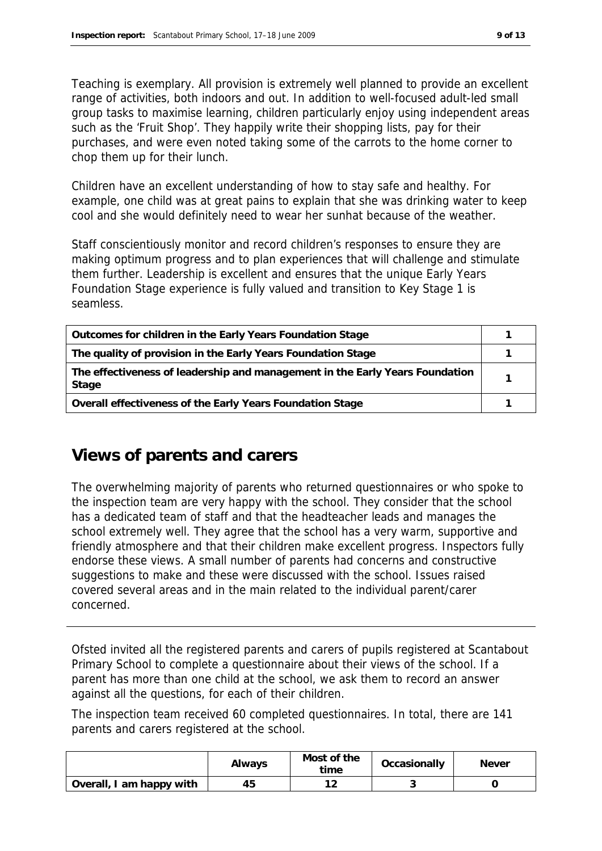Teaching is exemplary. All provision is extremely well planned to provide an excellent range of activities, both indoors and out. In addition to well-focused adult-led small group tasks to maximise learning, children particularly enjoy using independent areas such as the 'Fruit Shop'. They happily write their shopping lists, pay for their purchases, and were even noted taking some of the carrots to the home corner to chop them up for their lunch.

Children have an excellent understanding of how to stay safe and healthy. For example, one child was at great pains to explain that she was drinking water to keep cool and she would definitely need to wear her sunhat because of the weather.

Staff conscientiously monitor and record children's responses to ensure they are making optimum progress and to plan experiences that will challenge and stimulate them further. Leadership is excellent and ensures that the unique Early Years Foundation Stage experience is fully valued and transition to Key Stage 1 is seamless.

| Outcomes for children in the Early Years Foundation Stage                             |  |
|---------------------------------------------------------------------------------------|--|
| The quality of provision in the Early Years Foundation Stage                          |  |
| The effectiveness of leadership and management in the Early Years Foundation<br>Stage |  |
| Overall effectiveness of the Early Years Foundation Stage                             |  |

# **Views of parents and carers**

The overwhelming majority of parents who returned questionnaires or who spoke to the inspection team are very happy with the school. They consider that the school has a dedicated team of staff and that the headteacher leads and manages the school extremely well. They agree that the school has a very warm, supportive and friendly atmosphere and that their children make excellent progress. Inspectors fully endorse these views. A small number of parents had concerns and constructive suggestions to make and these were discussed with the school. Issues raised covered several areas and in the main related to the individual parent/carer concerned.

Ofsted invited all the registered parents and carers of pupils registered at Scantabout Primary School to complete a questionnaire about their views of the school. If a parent has more than one child at the school, we ask them to record an answer against all the questions, for each of their children.

The inspection team received 60 completed questionnaires. In total, there are 141 parents and carers registered at the school.

|                          | Always | Most of the<br>time | Occasionally | <b>Never</b> |
|--------------------------|--------|---------------------|--------------|--------------|
| Overall, I am happy with | 45     | 1 2<br>∼            |              |              |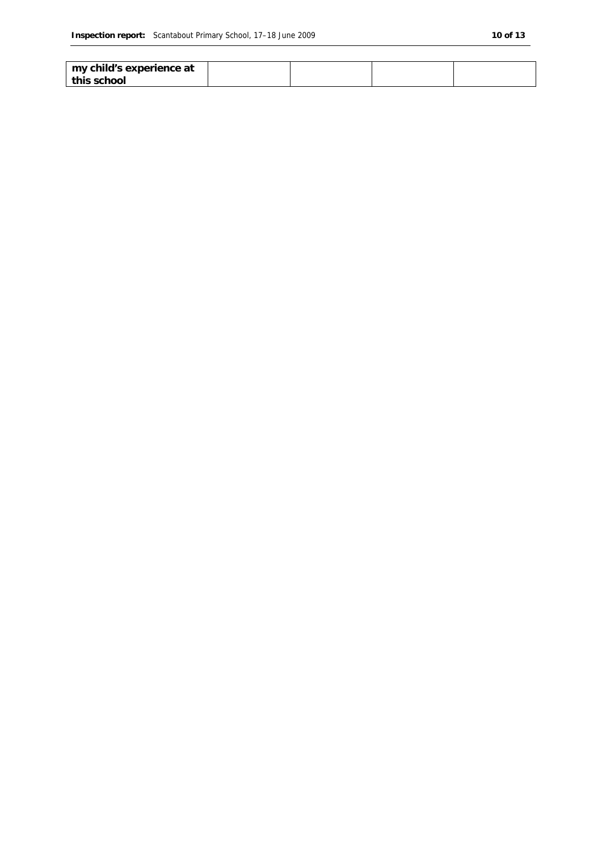| my child's experience at |  |  |
|--------------------------|--|--|
| this school              |  |  |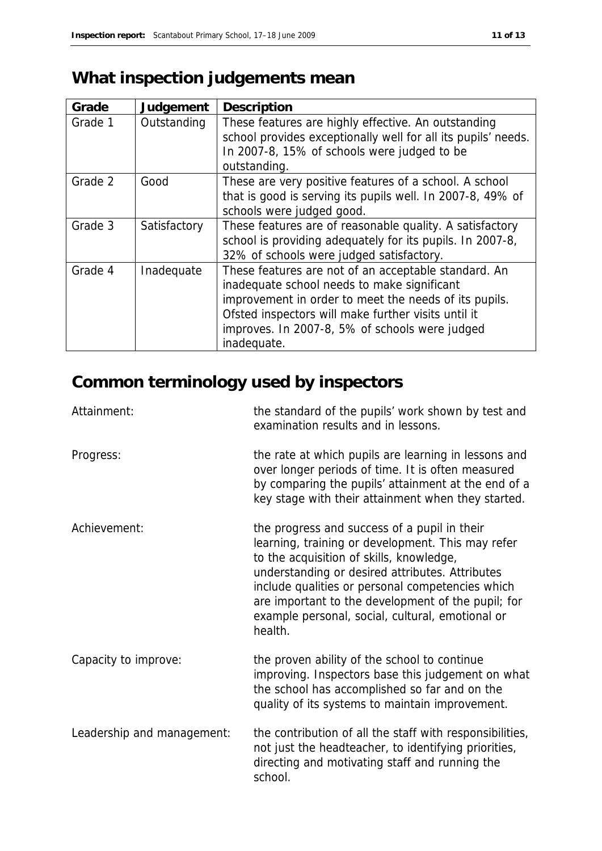# **What inspection judgements mean**

| Grade   | Judgement    | Description                                                                                                                                                                                                                                                                          |
|---------|--------------|--------------------------------------------------------------------------------------------------------------------------------------------------------------------------------------------------------------------------------------------------------------------------------------|
| Grade 1 | Outstanding  | These features are highly effective. An outstanding<br>school provides exceptionally well for all its pupils' needs.<br>In 2007-8, 15% of schools were judged to be<br>outstanding.                                                                                                  |
| Grade 2 | Good         | These are very positive features of a school. A school<br>that is good is serving its pupils well. In 2007-8, 49% of<br>schools were judged good.                                                                                                                                    |
| Grade 3 | Satisfactory | These features are of reasonable quality. A satisfactory<br>school is providing adequately for its pupils. In 2007-8,<br>32% of schools were judged satisfactory.                                                                                                                    |
| Grade 4 | Inadequate   | These features are not of an acceptable standard. An<br>inadequate school needs to make significant<br>improvement in order to meet the needs of its pupils.<br>Ofsted inspectors will make further visits until it<br>improves. In 2007-8, 5% of schools were judged<br>inadequate. |

# **Common terminology used by inspectors**

| Attainment:                | the standard of the pupils' work shown by test and<br>examination results and in lessons.                                                                                                                                                                                                                                                                                 |
|----------------------------|---------------------------------------------------------------------------------------------------------------------------------------------------------------------------------------------------------------------------------------------------------------------------------------------------------------------------------------------------------------------------|
| Progress:                  | the rate at which pupils are learning in lessons and<br>over longer periods of time. It is often measured<br>by comparing the pupils' attainment at the end of a<br>key stage with their attainment when they started.                                                                                                                                                    |
| Achievement:               | the progress and success of a pupil in their<br>learning, training or development. This may refer<br>to the acquisition of skills, knowledge,<br>understanding or desired attributes. Attributes<br>include qualities or personal competencies which<br>are important to the development of the pupil; for<br>example personal, social, cultural, emotional or<br>health. |
| Capacity to improve:       | the proven ability of the school to continue<br>improving. Inspectors base this judgement on what<br>the school has accomplished so far and on the<br>quality of its systems to maintain improvement.                                                                                                                                                                     |
| Leadership and management: | the contribution of all the staff with responsibilities,<br>not just the headteacher, to identifying priorities,<br>directing and motivating staff and running the<br>school.                                                                                                                                                                                             |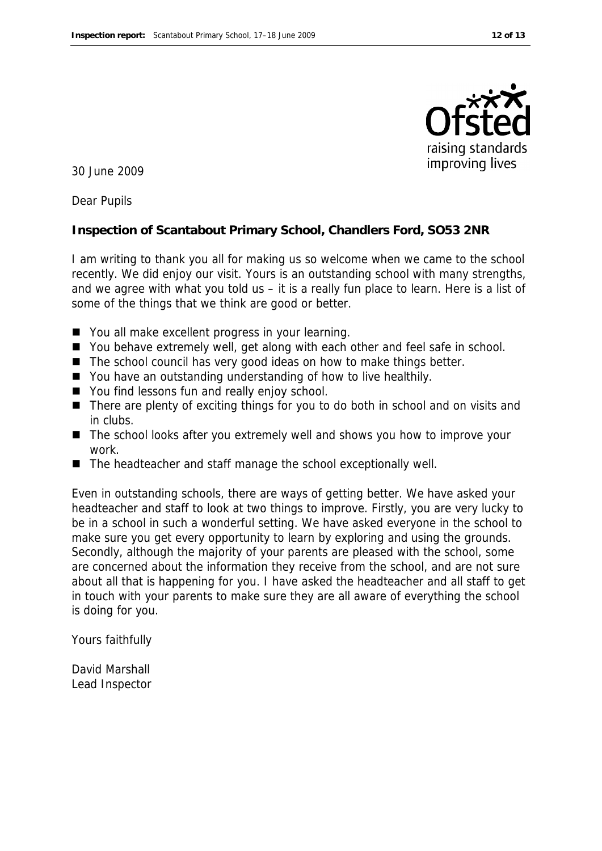

30 June 2009

Dear Pupils

**Inspection of Scantabout Primary School, Chandlers Ford, SO53 2NR**

I am writing to thank you all for making us so welcome when we came to the school recently. We did enjoy our visit. Yours is an outstanding school with many strengths, and we agree with what you told us – it is a really fun place to learn. Here is a list of some of the things that we think are good or better.

- You all make excellent progress in your learning.
- You behave extremely well, get along with each other and feel safe in school.
- $\blacksquare$  The school council has very good ideas on how to make things better.
- You have an outstanding understanding of how to live healthily.
- You find lessons fun and really enjoy school.
- There are plenty of exciting things for you to do both in school and on visits and in clubs.
- The school looks after you extremely well and shows you how to improve your work.
- The headteacher and staff manage the school exceptionally well.

Even in outstanding schools, there are ways of getting better. We have asked your headteacher and staff to look at two things to improve. Firstly, you are very lucky to be in a school in such a wonderful setting. We have asked everyone in the school to make sure you get every opportunity to learn by exploring and using the grounds. Secondly, although the majority of your parents are pleased with the school, some are concerned about the information they receive from the school, and are not sure about all that is happening for you. I have asked the headteacher and all staff to get in touch with your parents to make sure they are all aware of everything the school is doing for you.

Yours faithfully

David Marshall Lead Inspector